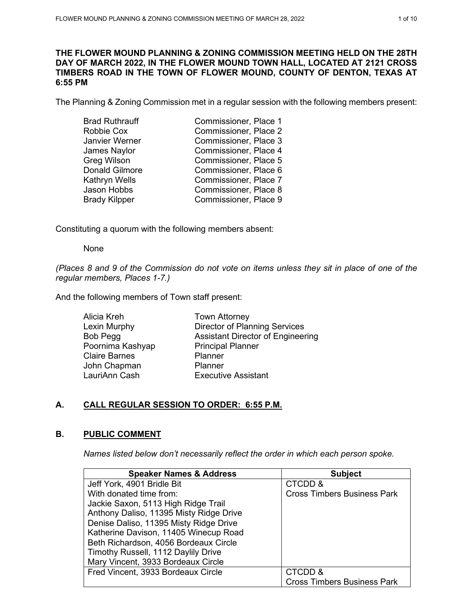## **THE FLOWER MOUND PLANNING & ZONING COMMISSION MEETING HELD ON THE 28TH DAY OF MARCH 2022, IN THE FLOWER MOUND TOWN HALL, LOCATED AT 2121 CROSS TIMBERS ROAD IN THE TOWN OF FLOWER MOUND, COUNTY OF DENTON, TEXAS AT 6:55 PM**

The Planning & Zoning Commission met in a regular session with the following members present:

| <b>Brad Ruthrauff</b> | Commissioner, Place 1 |
|-----------------------|-----------------------|
| Robbie Cox            | Commissioner, Place 2 |
| Janvier Werner        | Commissioner, Place 3 |
| James Naylor          | Commissioner, Place 4 |
| Greg Wilson           | Commissioner, Place 5 |
| <b>Donald Gilmore</b> | Commissioner, Place 6 |
| Kathryn Wells         | Commissioner, Place 7 |
| Jason Hobbs           | Commissioner, Place 8 |
| <b>Brady Kilpper</b>  | Commissioner, Place 9 |
|                       |                       |

Constituting a quorum with the following members absent:

None

*(Places 8 and 9 of the Commission do not vote on items unless they sit in place of one of the regular members, Places 1-7.)*

And the following members of Town staff present:

| Alicia Kreh          | <b>Town Attorney</b>                     |
|----------------------|------------------------------------------|
| Lexin Murphy         | <b>Director of Planning Services</b>     |
| Bob Pegg             | <b>Assistant Director of Engineering</b> |
| Poornima Kashyap     | <b>Principal Planner</b>                 |
| <b>Claire Barnes</b> | Planner                                  |
| John Chapman         | Planner                                  |
| LauriAnn Cash        | <b>Executive Assistant</b>               |
|                      |                                          |

# **A. CALL REGULAR SESSION TO ORDER: 6:55 P.M.**

# **B. PUBLIC COMMENT**

*Names listed below don't necessarily reflect the order in which each person spoke.*

| <b>Speaker Names &amp; Address</b>      | <b>Subject</b>                     |
|-----------------------------------------|------------------------------------|
| Jeff York, 4901 Bridle Bit              | CTCDD &                            |
| With donated time from:                 | <b>Cross Timbers Business Park</b> |
| Jackie Saxon, 5113 High Ridge Trail     |                                    |
| Anthony Daliso, 11395 Misty Ridge Drive |                                    |
| Denise Daliso, 11395 Misty Ridge Drive  |                                    |
| Katherine Davison, 11405 Winecup Road   |                                    |
| Beth Richardson, 4056 Bordeaux Circle   |                                    |
| Timothy Russell, 1112 Daylily Drive     |                                    |
| Mary Vincent, 3933 Bordeaux Circle      |                                    |
| Fred Vincent, 3933 Bordeaux Circle      | CTCDD &                            |
|                                         | <b>Cross Timbers Business Park</b> |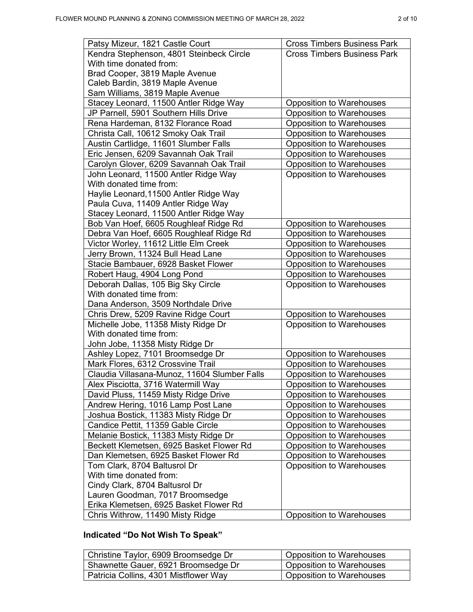| Kendra Stephenson, 4801 Steinbeck Circle<br><b>Cross Timbers Business Park</b><br>With time donated from:<br>Brad Cooper, 3819 Maple Avenue<br>Caleb Bardin, 3819 Maple Avenue<br>Sam Williams, 3819 Maple Avenue<br>Stacey Leonard, 11500 Antler Ridge Way<br><b>Opposition to Warehouses</b> |
|------------------------------------------------------------------------------------------------------------------------------------------------------------------------------------------------------------------------------------------------------------------------------------------------|
|                                                                                                                                                                                                                                                                                                |
|                                                                                                                                                                                                                                                                                                |
|                                                                                                                                                                                                                                                                                                |
|                                                                                                                                                                                                                                                                                                |
|                                                                                                                                                                                                                                                                                                |
|                                                                                                                                                                                                                                                                                                |
| JP Parnell, 5901 Southern Hills Drive<br><b>Opposition to Warehouses</b>                                                                                                                                                                                                                       |
| Rena Hardeman, 8132 Florance Road<br><b>Opposition to Warehouses</b>                                                                                                                                                                                                                           |
| Christa Call, 10612 Smoky Oak Trail<br><b>Opposition to Warehouses</b>                                                                                                                                                                                                                         |
| Austin Cartlidge, 11601 Slumber Falls<br><b>Opposition to Warehouses</b>                                                                                                                                                                                                                       |
| <b>Opposition to Warehouses</b><br>Eric Jensen, 6209 Savannah Oak Trail                                                                                                                                                                                                                        |
| Carolyn Glover, 6209 Savannah Oak Trail<br><b>Opposition to Warehouses</b>                                                                                                                                                                                                                     |
| John Leonard, 11500 Antler Ridge Way<br>Opposition to Warehouses                                                                                                                                                                                                                               |
| With donated time from:                                                                                                                                                                                                                                                                        |
| Haylie Leonard, 11500 Antler Ridge Way                                                                                                                                                                                                                                                         |
| Paula Cuva, 11409 Antler Ridge Way                                                                                                                                                                                                                                                             |
| Stacey Leonard, 11500 Antler Ridge Way                                                                                                                                                                                                                                                         |
| Bob Van Hoef, 6605 Roughleaf Ridge Rd<br><b>Opposition to Warehouses</b>                                                                                                                                                                                                                       |
| Debra Van Hoef, 6605 Roughleaf Ridge Rd<br>Opposition to Warehouses                                                                                                                                                                                                                            |
| Victor Worley, 11612 Little Elm Creek<br>Opposition to Warehouses                                                                                                                                                                                                                              |
| Jerry Brown, 11324 Bull Head Lane<br><b>Opposition to Warehouses</b>                                                                                                                                                                                                                           |
| Stacie Bambauer, 6928 Basket Flower<br><b>Opposition to Warehouses</b>                                                                                                                                                                                                                         |
| Robert Haug, 4904 Long Pond<br><b>Opposition to Warehouses</b>                                                                                                                                                                                                                                 |
| Deborah Dallas, 105 Big Sky Circle<br>Opposition to Warehouses                                                                                                                                                                                                                                 |
| With donated time from:                                                                                                                                                                                                                                                                        |
| Dana Anderson, 3509 Northdale Drive                                                                                                                                                                                                                                                            |
| Chris Drew, 5209 Ravine Ridge Court<br><b>Opposition to Warehouses</b>                                                                                                                                                                                                                         |
| Michelle Jobe, 11358 Misty Ridge Dr<br><b>Opposition to Warehouses</b>                                                                                                                                                                                                                         |
| With donated time from:                                                                                                                                                                                                                                                                        |
| John Jobe, 11358 Misty Ridge Dr                                                                                                                                                                                                                                                                |
| Ashley Lopez, 7101 Broomsedge Dr<br><b>Opposition to Warehouses</b>                                                                                                                                                                                                                            |
| Mark Flores, 6312 Crossvine Trail<br>Opposition to Warehouses                                                                                                                                                                                                                                  |
| Claudia Villasana-Munoz, 11604 Slumber Falls<br><b>Opposition to Warehouses</b>                                                                                                                                                                                                                |
| Alex Pisciotta, 3716 Watermill Way<br><b>Opposition to Warehouses</b>                                                                                                                                                                                                                          |
| David Pluss, 11459 Misty Ridge Drive<br><b>Opposition to Warehouses</b>                                                                                                                                                                                                                        |
| Andrew Hering, 1016 Lamp Post Lane<br><b>Opposition to Warehouses</b>                                                                                                                                                                                                                          |
| Joshua Bostick, 11383 Misty Ridge Dr<br><b>Opposition to Warehouses</b>                                                                                                                                                                                                                        |
| Candice Pettit, 11359 Gable Circle<br><b>Opposition to Warehouses</b>                                                                                                                                                                                                                          |
| Melanie Bostick, 11383 Misty Ridge Dr<br>Opposition to Warehouses                                                                                                                                                                                                                              |
| Beckett Klemetsen, 6925 Basket Flower Rd<br><b>Opposition to Warehouses</b>                                                                                                                                                                                                                    |
| Dan Klemetsen, 6925 Basket Flower Rd<br><b>Opposition to Warehouses</b>                                                                                                                                                                                                                        |
| Tom Clark, 8704 Baltusrol Dr<br>Opposition to Warehouses                                                                                                                                                                                                                                       |
| With time donated from:                                                                                                                                                                                                                                                                        |
| Cindy Clark, 8704 Baltusrol Dr                                                                                                                                                                                                                                                                 |
| Lauren Goodman, 7017 Broomsedge                                                                                                                                                                                                                                                                |
| Erika Klemetsen, 6925 Basket Flower Rd                                                                                                                                                                                                                                                         |
| <b>Opposition to Warehouses</b><br>Chris Withrow, 11490 Misty Ridge                                                                                                                                                                                                                            |

# **Indicated "Do Not Wish To Speak"**

| Christine Taylor, 6909 Broomsedge Dr  | <b>Opposition to Warehouses</b> |
|---------------------------------------|---------------------------------|
| Shawnette Gauer, 6921 Broomsedge Dr   | <b>Opposition to Warehouses</b> |
| Patricia Collins, 4301 Mistflower Way | <b>Opposition to Warehouses</b> |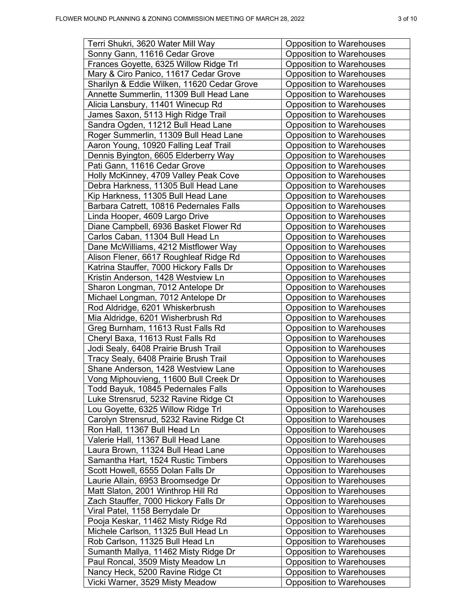|  | п<br>r |  |  |
|--|--------|--|--|
|--|--------|--|--|

| Terri Shukri, 3620 Water Mill Way                                          | <b>Opposition to Warehouses</b>                                    |
|----------------------------------------------------------------------------|--------------------------------------------------------------------|
| Sonny Gann, 11616 Cedar Grove                                              | <b>Opposition to Warehouses</b>                                    |
| Frances Goyette, 6325 Willow Ridge Trl                                     | <b>Opposition to Warehouses</b>                                    |
| Mary & Ciro Panico, 11617 Cedar Grove                                      | <b>Opposition to Warehouses</b>                                    |
| Sharilyn & Eddie Wilken, 11620 Cedar Grove                                 | <b>Opposition to Warehouses</b>                                    |
| Annette Summerlin, 11309 Bull Head Lane                                    | <b>Opposition to Warehouses</b>                                    |
| Alicia Lansbury, 11401 Winecup Rd                                          | <b>Opposition to Warehouses</b>                                    |
| James Saxon, 5113 High Ridge Trail                                         | <b>Opposition to Warehouses</b>                                    |
| Sandra Ogden, 11212 Bull Head Lane                                         | <b>Opposition to Warehouses</b>                                    |
| Roger Summerlin, 11309 Bull Head Lane                                      | <b>Opposition to Warehouses</b>                                    |
| Aaron Young, 10920 Falling Leaf Trail                                      | <b>Opposition to Warehouses</b>                                    |
| Dennis Byington, 6605 Elderberry Way                                       | <b>Opposition to Warehouses</b>                                    |
| Pati Gann, 11616 Cedar Grove                                               | <b>Opposition to Warehouses</b>                                    |
| Holly McKinney, 4709 Valley Peak Cove                                      | <b>Opposition to Warehouses</b>                                    |
| Debra Harkness, 11305 Bull Head Lane                                       | <b>Opposition to Warehouses</b>                                    |
| Kip Harkness, 11305 Bull Head Lane                                         | <b>Opposition to Warehouses</b>                                    |
| Barbara Catrett, 10816 Pedernales Falls                                    | <b>Opposition to Warehouses</b>                                    |
| Linda Hooper, 4609 Largo Drive                                             | <b>Opposition to Warehouses</b>                                    |
| Diane Campbell, 6936 Basket Flower Rd                                      | <b>Opposition to Warehouses</b>                                    |
| Carlos Caban, 11304 Bull Head Ln                                           | <b>Opposition to Warehouses</b>                                    |
| Dane McWilliams, 4212 Mistflower Way                                       | <b>Opposition to Warehouses</b>                                    |
| Alison Flener, 6617 Roughleaf Ridge Rd                                     | <b>Opposition to Warehouses</b>                                    |
| Katrina Stauffer, 7000 Hickory Falls Dr                                    | <b>Opposition to Warehouses</b>                                    |
| Kristin Anderson, 1428 Westview Ln                                         | <b>Opposition to Warehouses</b>                                    |
| Sharon Longman, 7012 Antelope Dr                                           | <b>Opposition to Warehouses</b>                                    |
| Michael Longman, 7012 Antelope Dr                                          | <b>Opposition to Warehouses</b>                                    |
| Rod Aldridge, 6201 Whiskerbrush                                            | <b>Opposition to Warehouses</b>                                    |
| Mia Aldridge, 6201 Wisherbrush Rd                                          | <b>Opposition to Warehouses</b>                                    |
| Greg Burnham, 11613 Rust Falls Rd                                          | <b>Opposition to Warehouses</b>                                    |
| Cheryl Baxa, 11613 Rust Falls Rd                                           | <b>Opposition to Warehouses</b>                                    |
| Jodi Sealy, 6408 Prairie Brush Trail                                       | <b>Opposition to Warehouses</b>                                    |
| Tracy Sealy, 6408 Prairie Brush Trail                                      | <b>Opposition to Warehouses</b>                                    |
| Shane Anderson, 1428 Westview Lane                                         | <b>Opposition to Warehouses</b>                                    |
| Vong Miphouvieng, 11600 Bull Creek Dr                                      | <b>Opposition to Warehouses</b>                                    |
|                                                                            |                                                                    |
| Todd Bayuk, 10845 Pedernales Falls<br>Luke Strensrud, 5232 Ravine Ridge Ct | <b>Opposition to Warehouses</b>                                    |
| Lou Goyette, 6325 Willow Ridge Trl                                         | <b>Opposition to Warehouses</b><br><b>Opposition to Warehouses</b> |
|                                                                            | <b>Opposition to Warehouses</b>                                    |
| Carolyn Strensrud, 5232 Ravine Ridge Ct<br>Ron Hall, 11367 Bull Head Ln    | <b>Opposition to Warehouses</b>                                    |
| Valerie Hall, 11367 Bull Head Lane                                         | <b>Opposition to Warehouses</b>                                    |
| Laura Brown, 11324 Bull Head Lane                                          | <b>Opposition to Warehouses</b>                                    |
| Samantha Hart, 1524 Rustic Timbers                                         | <b>Opposition to Warehouses</b>                                    |
|                                                                            |                                                                    |
| Scott Howell, 6555 Dolan Falls Dr                                          | <b>Opposition to Warehouses</b>                                    |
| Laurie Allain, 6953 Broomsedge Dr                                          | <b>Opposition to Warehouses</b>                                    |
| Matt Slaton, 2001 Winthrop Hill Rd                                         | <b>Opposition to Warehouses</b>                                    |
| Zach Stauffer, 7000 Hickory Falls Dr                                       | <b>Opposition to Warehouses</b>                                    |
| Viral Patel, 1158 Berrydale Dr                                             | Opposition to Warehouses                                           |
| Pooja Keskar, 11462 Misty Ridge Rd                                         | <b>Opposition to Warehouses</b>                                    |
| Michele Carlson, 11325 Bull Head Ln                                        | <b>Opposition to Warehouses</b>                                    |
| Rob Carlson, 11325 Bull Head Ln                                            | Opposition to Warehouses                                           |
| Sumanth Mallya, 11462 Misty Ridge Dr                                       | <b>Opposition to Warehouses</b>                                    |
| Paul Roncal, 3509 Misty Meadow Ln                                          | <b>Opposition to Warehouses</b>                                    |
| Nancy Heck, 5200 Ravine Ridge Ct                                           | <b>Opposition to Warehouses</b>                                    |
| Vicki Warner, 3529 Misty Meadow                                            | <b>Opposition to Warehouses</b>                                    |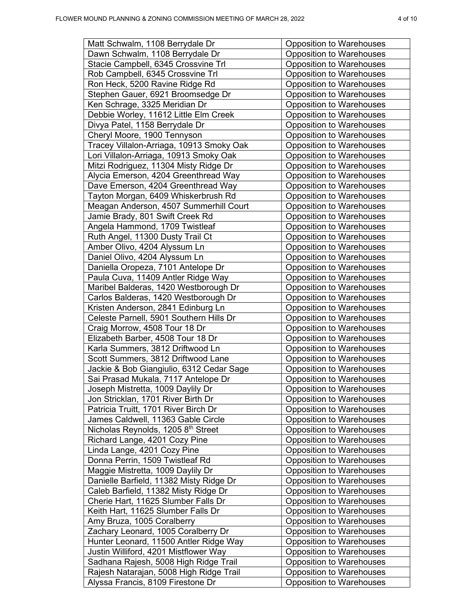|  | л<br>۰. |  |  |
|--|---------|--|--|
|--|---------|--|--|

| Matt Schwalm, 1108 Berrydale Dr                | <b>Opposition to Warehouses</b> |
|------------------------------------------------|---------------------------------|
| Dawn Schwalm, 1108 Berrydale Dr                | <b>Opposition to Warehouses</b> |
| Stacie Campbell, 6345 Crossvine Trl            | <b>Opposition to Warehouses</b> |
| Rob Campbell, 6345 Crossvine Trl               | <b>Opposition to Warehouses</b> |
| Ron Heck, 5200 Ravine Ridge Rd                 | <b>Opposition to Warehouses</b> |
| Stephen Gauer, 6921 Broomsedge Dr              | <b>Opposition to Warehouses</b> |
| Ken Schrage, 3325 Meridian Dr                  | <b>Opposition to Warehouses</b> |
| Debbie Worley, 11612 Little Elm Creek          | <b>Opposition to Warehouses</b> |
| Divya Patel, 1158 Berrydale Dr                 | <b>Opposition to Warehouses</b> |
| Cheryl Moore, 1900 Tennyson                    | <b>Opposition to Warehouses</b> |
| Tracey Villalon-Arriaga, 10913 Smoky Oak       | <b>Opposition to Warehouses</b> |
| Lori Villalon-Arriaga, 10913 Smoky Oak         | <b>Opposition to Warehouses</b> |
| Mitzi Rodriguez, 11304 Misty Ridge Dr          | <b>Opposition to Warehouses</b> |
| Alycia Emerson, 4204 Greenthread Way           | <b>Opposition to Warehouses</b> |
| Dave Emerson, 4204 Greenthread Way             | <b>Opposition to Warehouses</b> |
| Tayton Morgan, 6409 Whiskerbrush Rd            | <b>Opposition to Warehouses</b> |
| Meagan Anderson, 4507 Summerhill Court         | <b>Opposition to Warehouses</b> |
| Jamie Brady, 801 Swift Creek Rd                | <b>Opposition to Warehouses</b> |
| Angela Hammond, 1709 Twistleaf                 | <b>Opposition to Warehouses</b> |
| Ruth Angel, 11300 Dusty Trail Ct               | <b>Opposition to Warehouses</b> |
| Amber Olivo, 4204 Alyssum Ln                   | <b>Opposition to Warehouses</b> |
| Daniel Olivo, 4204 Alyssum Ln                  | <b>Opposition to Warehouses</b> |
| Daniella Oropeza, 7101 Antelope Dr             | Opposition to Warehouses        |
| Paula Cuva, 11409 Antler Ridge Way             | <b>Opposition to Warehouses</b> |
| Maribel Balderas, 1420 Westborough Dr          | <b>Opposition to Warehouses</b> |
| Carlos Balderas, 1420 Westborough Dr           | <b>Opposition to Warehouses</b> |
| Kristen Anderson, 2841 Edinburg Ln             | <b>Opposition to Warehouses</b> |
| Celeste Parnell, 5901 Southern Hills Dr        | Opposition to Warehouses        |
| Craig Morrow, 4508 Tour 18 Dr                  | <b>Opposition to Warehouses</b> |
| Elizabeth Barber, 4508 Tour 18 Dr              | <b>Opposition to Warehouses</b> |
| Karla Summers, 3812 Driftwood Ln               | <b>Opposition to Warehouses</b> |
| Scott Summers, 3812 Driftwood Lane             | <b>Opposition to Warehouses</b> |
| Jackie & Bob Giangiulio, 6312 Cedar Sage       | <b>Opposition to Warehouses</b> |
| Sai Prasad Mukala, 7117 Antelope Dr            | <b>Opposition to Warehouses</b> |
| Joseph Mistretta, 1009 Daylily Dr              | <b>Opposition to Warehouses</b> |
| Jon Stricklan, 1701 River Birth Dr             | Opposition to Warehouses        |
| Patricia Truitt, 1701 River Birch Dr           | Opposition to Warehouses        |
| James Caldwell, 11363 Gable Circle             | <b>Opposition to Warehouses</b> |
| Nicholas Reynolds, 1205 8 <sup>th</sup> Street | <b>Opposition to Warehouses</b> |
| Richard Lange, 4201 Cozy Pine                  | Opposition to Warehouses        |
| Linda Lange, 4201 Cozy Pine                    | <b>Opposition to Warehouses</b> |
| Donna Perrin, 1509 Twistleaf Rd                | <b>Opposition to Warehouses</b> |
| Maggie Mistretta, 1009 Daylily Dr              | <b>Opposition to Warehouses</b> |
| Danielle Barfield, 11382 Misty Ridge Dr        | <b>Opposition to Warehouses</b> |
| Caleb Barfield, 11382 Misty Ridge Dr           | Opposition to Warehouses        |
| Cherie Hart, 11625 Slumber Falls Dr            | Opposition to Warehouses        |
| Keith Hart, 11625 Slumber Falls Dr             | <b>Opposition to Warehouses</b> |
| Amy Bruza, 1005 Coralberry                     | Opposition to Warehouses        |
| Zachary Leonard, 1005 Coralberry Dr            | Opposition to Warehouses        |
| Hunter Leonard, 11500 Antler Ridge Way         | <b>Opposition to Warehouses</b> |
| Justin Williford, 4201 Mistflower Way          | <b>Opposition to Warehouses</b> |
| Sadhana Rajesh, 5008 High Ridge Trail          | <b>Opposition to Warehouses</b> |
| Rajesh Natarajan, 5008 High Ridge Trail        | Opposition to Warehouses        |
| Alyssa Francis, 8109 Firestone Dr              | <b>Opposition to Warehouses</b> |
|                                                |                                 |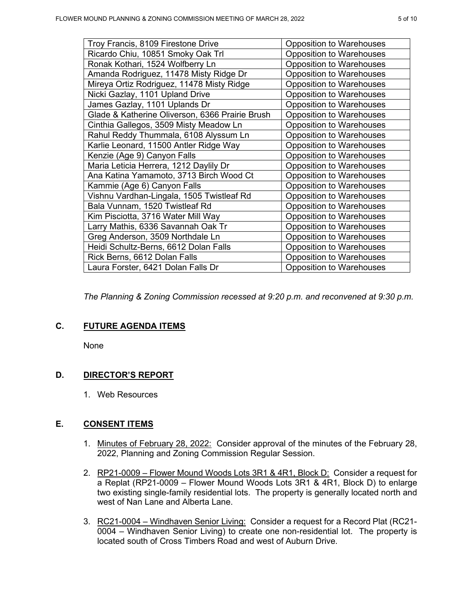| Troy Francis, 8109 Firestone Drive              | <b>Opposition to Warehouses</b> |
|-------------------------------------------------|---------------------------------|
| Ricardo Chiu, 10851 Smoky Oak Trl               | <b>Opposition to Warehouses</b> |
| Ronak Kothari, 1524 Wolfberry Ln                | <b>Opposition to Warehouses</b> |
| Amanda Rodriguez, 11478 Misty Ridge Dr          | <b>Opposition to Warehouses</b> |
| Mireya Ortiz Rodriguez, 11478 Misty Ridge       | <b>Opposition to Warehouses</b> |
| Nicki Gazlay, 1101 Upland Drive                 | <b>Opposition to Warehouses</b> |
| James Gazlay, 1101 Uplands Dr                   | <b>Opposition to Warehouses</b> |
| Glade & Katherine Oliverson, 6366 Prairie Brush | <b>Opposition to Warehouses</b> |
| Cinthia Gallegos, 3509 Misty Meadow Ln          | <b>Opposition to Warehouses</b> |
| Rahul Reddy Thummala, 6108 Alyssum Ln           | <b>Opposition to Warehouses</b> |
| Karlie Leonard, 11500 Antler Ridge Way          | <b>Opposition to Warehouses</b> |
| Kenzie (Age 9) Canyon Falls                     | <b>Opposition to Warehouses</b> |
| Maria Leticia Herrera, 1212 Daylily Dr          | <b>Opposition to Warehouses</b> |
| Ana Katina Yamamoto, 3713 Birch Wood Ct         | <b>Opposition to Warehouses</b> |
| Kammie (Age 6) Canyon Falls                     | <b>Opposition to Warehouses</b> |
| Vishnu Vardhan-Lingala, 1505 Twistleaf Rd       | <b>Opposition to Warehouses</b> |
| Bala Vunnam, 1520 Twistleaf Rd                  | <b>Opposition to Warehouses</b> |
| Kim Pisciotta, 3716 Water Mill Way              | <b>Opposition to Warehouses</b> |
| Larry Mathis, 6336 Savannah Oak Tr              | <b>Opposition to Warehouses</b> |
| Greg Anderson, 3509 Northdale Ln                | <b>Opposition to Warehouses</b> |
| Heidi Schultz-Berns, 6612 Dolan Falls           | <b>Opposition to Warehouses</b> |
| Rick Berns, 6612 Dolan Falls                    | <b>Opposition to Warehouses</b> |
| Laura Forster, 6421 Dolan Falls Dr              | <b>Opposition to Warehouses</b> |

*The Planning & Zoning Commission recessed at 9:20 p.m. and reconvened at 9:30 p.m.*

# **C. FUTURE AGENDA ITEMS**

None

# **D. DIRECTOR'S REPORT**

1. Web Resources

# **E. CONSENT ITEMS**

- 1. Minutes of February 28, 2022: Consider approval of the minutes of the February 28, 2022, Planning and Zoning Commission Regular Session.
- 2. RP21-0009 Flower Mound Woods Lots 3R1 & 4R1, Block D: Consider a request for a Replat (RP21-0009 – Flower Mound Woods Lots 3R1 & 4R1, Block D) to enlarge two existing single-family residential lots. The property is generally located north and west of Nan Lane and Alberta Lane.
- 3. RC21-0004 Windhaven Senior Living: Consider a request for a Record Plat (RC21- 0004 – Windhaven Senior Living) to create one non-residential lot. The property is located south of Cross Timbers Road and west of Auburn Drive.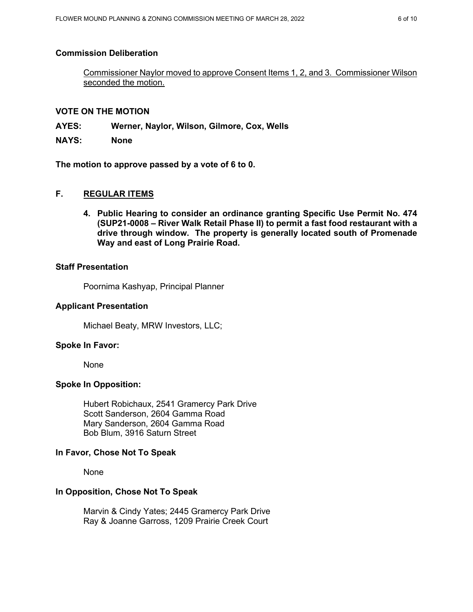## **Commission Deliberation**

Commissioner Naylor moved to approve Consent Items 1, 2, and 3. Commissioner Wilson seconded the motion.

## **VOTE ON THE MOTION**

**AYES: Werner, Naylor, Wilson, Gilmore, Cox, Wells**

**NAYS: None**

**The motion to approve passed by a vote of 6 to 0.** 

# **F. REGULAR ITEMS**

**4. Public Hearing to consider an ordinance granting Specific Use Permit No. 474 (SUP21-0008 – River Walk Retail Phase II) to permit a fast food restaurant with a drive through window. The property is generally located south of Promenade Way and east of Long Prairie Road.** 

## **Staff Presentation**

Poornima Kashyap, Principal Planner

## **Applicant Presentation**

Michael Beaty, MRW Investors, LLC;

## **Spoke In Favor:**

None

## **Spoke In Opposition:**

Hubert Robichaux, 2541 Gramercy Park Drive Scott Sanderson, 2604 Gamma Road Mary Sanderson, 2604 Gamma Road Bob Blum, 3916 Saturn Street

## **In Favor, Chose Not To Speak**

None

## **In Opposition, Chose Not To Speak**

Marvin & Cindy Yates; 2445 Gramercy Park Drive Ray & Joanne Garross, 1209 Prairie Creek Court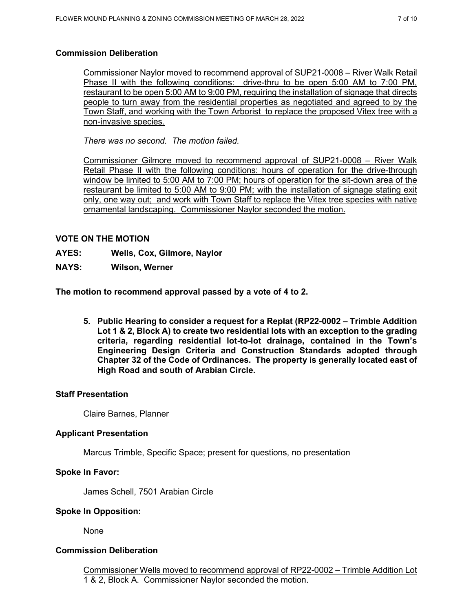# **Commission Deliberation**

Commissioner Naylor moved to recommend approval of SUP21-0008 – River Walk Retail Phase II with the following conditions: drive-thru to be open 5:00 AM to 7:00 PM, restaurant to be open 5:00 AM to 9:00 PM, requiring the installation of signage that directs people to turn away from the residential properties as negotiated and agreed to by the Town Staff, and working with the Town Arborist to replace the proposed Vitex tree with a non-invasive species.

*There was no second. The motion failed.*

Commissioner Gilmore moved to recommend approval of SUP21-0008 – River Walk Retail Phase II with the following conditions: hours of operation for the drive-through window be limited to 5:00 AM to 7:00 PM; hours of operation for the sit-down area of the restaurant be limited to 5:00 AM to 9:00 PM; with the installation of signage stating exit only, one way out; and work with Town Staff to replace the Vitex tree species with native ornamental landscaping. Commissioner Naylor seconded the motion.

# **VOTE ON THE MOTION**

- **AYES: Wells, Cox, Gilmore, Naylor**
- **NAYS: Wilson, Werner**

**The motion to recommend approval passed by a vote of 4 to 2.** 

**5. Public Hearing to consider a request for a Replat (RP22-0002 – Trimble Addition Lot 1 & 2, Block A) to create two residential lots with an exception to the grading criteria, regarding residential lot-to-lot drainage, contained in the Town's Engineering Design Criteria and Construction Standards adopted through Chapter 32 of the Code of Ordinances. The property is generally located east of High Road and south of Arabian Circle.** 

# **Staff Presentation**

Claire Barnes, Planner

# **Applicant Presentation**

Marcus Trimble, Specific Space; present for questions, no presentation

# **Spoke In Favor:**

James Schell, 7501 Arabian Circle

## **Spoke In Opposition:**

None

# **Commission Deliberation**

Commissioner Wells moved to recommend approval of RP22-0002 – Trimble Addition Lot 1 & 2, Block A. Commissioner Naylor seconded the motion.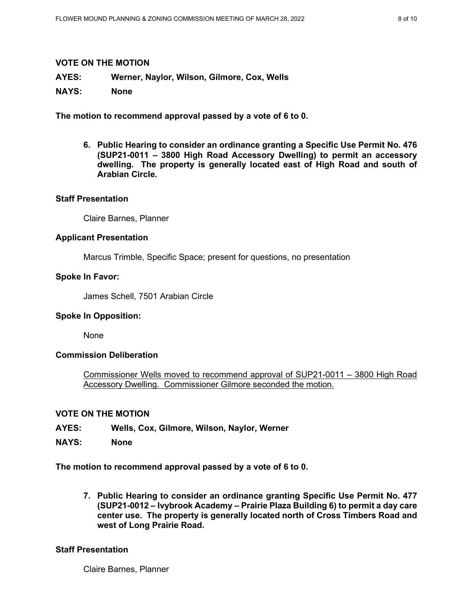### **VOTE ON THE MOTION**

**AYES: Werner, Naylor, Wilson, Gilmore, Cox, Wells**

**NAYS: None**

**The motion to recommend approval passed by a vote of 6 to 0.** 

**6. Public Hearing to consider an ordinance granting a Specific Use Permit No. 476 (SUP21-0011 – 3800 High Road Accessory Dwelling) to permit an accessory dwelling. The property is generally located east of High Road and south of Arabian Circle.** 

### **Staff Presentation**

Claire Barnes, Planner

### **Applicant Presentation**

Marcus Trimble, Specific Space; present for questions, no presentation

### **Spoke In Favor:**

James Schell, 7501 Arabian Circle

## **Spoke In Opposition:**

None

## **Commission Deliberation**

Commissioner Wells moved to recommend approval of SUP21-0011 – 3800 High Road Accessory Dwelling. Commissioner Gilmore seconded the motion.

### **VOTE ON THE MOTION**

- **AYES: Wells, Cox, Gilmore, Wilson, Naylor, Werner**
- **NAYS: None**

**The motion to recommend approval passed by a vote of 6 to 0.** 

**7. Public Hearing to consider an ordinance granting Specific Use Permit No. 477 (SUP21-0012 – Ivybrook Academy – Prairie Plaza Building 6) to permit a day care center use. The property is generally located north of Cross Timbers Road and west of Long Prairie Road.** 

#### **Staff Presentation**

Claire Barnes, Planner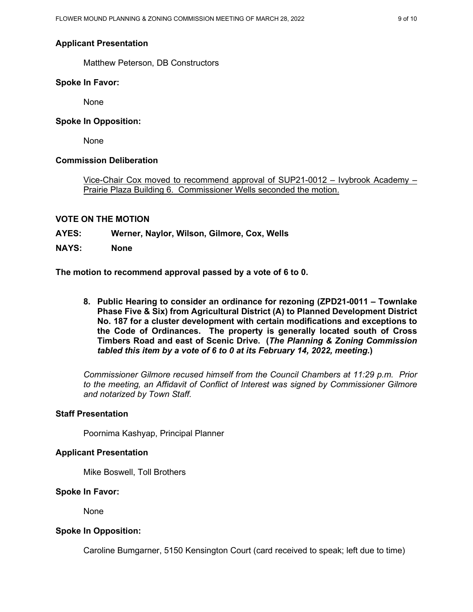## **Applicant Presentation**

Matthew Peterson, DB Constructors

### **Spoke In Favor:**

None

## **Spoke In Opposition:**

None

## **Commission Deliberation**

Vice-Chair Cox moved to recommend approval of SUP21-0012 – Ivybrook Academy – Prairie Plaza Building 6. Commissioner Wells seconded the motion.

## **VOTE ON THE MOTION**

- **AYES: Werner, Naylor, Wilson, Gilmore, Cox, Wells**
- **NAYS: None**

**The motion to recommend approval passed by a vote of 6 to 0.** 

**8. Public Hearing to consider an ordinance for rezoning (ZPD21-0011 – Townlake Phase Five & Six) from Agricultural District (A) to Planned Development District No. 187 for a cluster development with certain modifications and exceptions to the Code of Ordinances. The property is generally located south of Cross Timbers Road and east of Scenic Drive. (***The Planning & Zoning Commission tabled this item by a vote of 6 to 0 at its February 14, 2022, meeting.***)** 

*Commissioner Gilmore recused himself from the Council Chambers at 11:29 p.m. Prior to the meeting, an Affidavit of Conflict of Interest was signed by Commissioner Gilmore and notarized by Town Staff.*

# **Staff Presentation**

Poornima Kashyap, Principal Planner

## **Applicant Presentation**

Mike Boswell, Toll Brothers

#### **Spoke In Favor:**

None

## **Spoke In Opposition:**

Caroline Bumgarner, 5150 Kensington Court (card received to speak; left due to time)